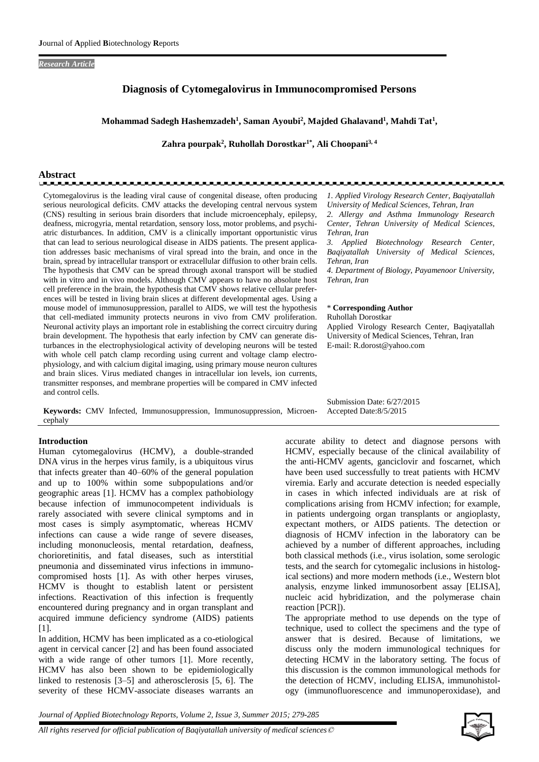#### *Research Article*

# **Diagnosis of Cytomegalovirus in Immunocompromised Persons**

#### **Mohammad Sadegh Hashemzadeh<sup>1</sup> , Saman Ayoubi<sup>2</sup> , Majded Ghalavand<sup>1</sup> , Mahdi Tat<sup>1</sup> ,**

**Zahra pourpak<sup>2</sup> , Ruhollah Dorostkar1\*, Ali Choopani3, 4**

# **Abstract**

Cytomegalovirus is the leading viral cause of congenital disease, often producing serious neurological deficits. CMV attacks the developing central nervous system (CNS) resulting in serious brain disorders that include microencephaly, epilepsy, deafness, microgyria, mental retardation, sensory loss, motor problems, and psychiatric disturbances. In addition, CMV is a clinically important opportunistic virus that can lead to serious neurological disease in AIDS patients. The present application addresses basic mechanisms of viral spread into the brain, and once in the brain, spread by intracellular transport or extracellular diffusion to other brain cells. The hypothesis that CMV can be spread through axonal transport will be studied with in vitro and in vivo models. Although CMV appears to have no absolute host cell preference in the brain, the hypothesis that CMV shows relative cellular preferences will be tested in living brain slices at different developmental ages. Using a mouse model of immunosuppression, parallel to AIDS, we will test the hypothesis that cell-mediated immunity protects neurons in vivo from CMV proliferation. Neuronal activity plays an important role in establishing the correct circuitry during brain development. The hypothesis that early infection by CMV can generate disturbances in the electrophysiological activity of developing neurons will be tested with whole cell patch clamp recording using current and voltage clamp electrophysiology, and with calcium digital imaging, using primary mouse neuron cultures and brain slices. Virus mediated changes in intracellular ion levels, ion currents, transmitter responses, and membrane properties will be compared in CMV infected and control cells.

**Keywords:** CMV Infected, Immunosuppression, Immunosuppression, Microencephaly

#### **Introduction**

Human cytomegalovirus (HCMV), a double-stranded DNA virus in the herpes virus family, is a ubiquitous virus that infects greater than 40–60% of the general population and up to 100% within some subpopulations and/or geographic areas [1]. HCMV has a complex pathobiology because infection of immunocompetent individuals is rarely associated with severe clinical symptoms and in most cases is simply asymptomatic, whereas HCMV infections can cause a wide range of severe diseases, including mononucleosis, mental retardation, deafness, chorioretinitis, and fatal diseases, such as interstitial pneumonia and disseminated virus infections in immunocompromised hosts [1]. As with other herpes viruses, HCMV is thought to establish latent or persistent infections. Reactivation of this infection is frequently encountered during pregnancy and in organ transplant and acquired immune deficiency syndrome (AIDS) patients [1].

In addition, HCMV has been implicated as a co-etiological agent in cervical cancer [2] and has been found associated with a wide range of other tumors [1]. More recently, HCMV has also been shown to be epidemiologically linked to restenosis [3–5] and atherosclerosis [5, 6]. The severity of these HCMV-associate diseases warrants an

*1. Applied Virology Research Center, Baqiyatallah University of Medical Sciences, Tehran, Iran 2. Allergy and Asthma Immunology Research Center, Tehran University of Medical Sciences, Tehran, Iran*

*3. Applied Biotechnology Research Center, Baqiyatallah University of Medical Sciences, Tehran, Iran*

*4. Department of Biology, Payamenoor University, Tehran, Iran*

#### \* **Corresponding Author**

Ruhollah Dorostkar Applied Virology Research Center, Baqiyatallah University of Medical Sciences, Tehran, Iran E-mail: R.dorost@yahoo.com

Submission Date: 6/27/2015 Accepted Date:8/5/2015

accurate ability to detect and diagnose persons with HCMV, especially because of the clinical availability of the anti-HCMV agents, ganciclovir and foscarnet, which have been used successfully to treat patients with HCMV viremia. Early and accurate detection is needed especially in cases in which infected individuals are at risk of complications arising from HCMV infection; for example, in patients undergoing organ transplants or angioplasty, expectant mothers, or AIDS patients. The detection or diagnosis of HCMV infection in the laboratory can be achieved by a number of different approaches, including both classical methods (i.e., virus isolation, some serologic tests, and the search for cytomegalic inclusions in histological sections) and more modern methods (i.e., Western blot analysis, enzyme linked immunosorbent assay [ELISA], nucleic acid hybridization, and the polymerase chain reaction [PCR]).

The appropriate method to use depends on the type of technique, used to collect the specimens and the type of answer that is desired. Because of limitations, we discuss only the modern immunological techniques for detecting HCMV in the laboratory setting. The focus of this discussion is the common immunological methods for the detection of HCMV, including ELISA, immunohistology (immunofluorescence and immunoperoxidase), and

*Journal of Applied Biotechnology Reports, Volume 2, Issue 3, Summer 2015; 279-285*

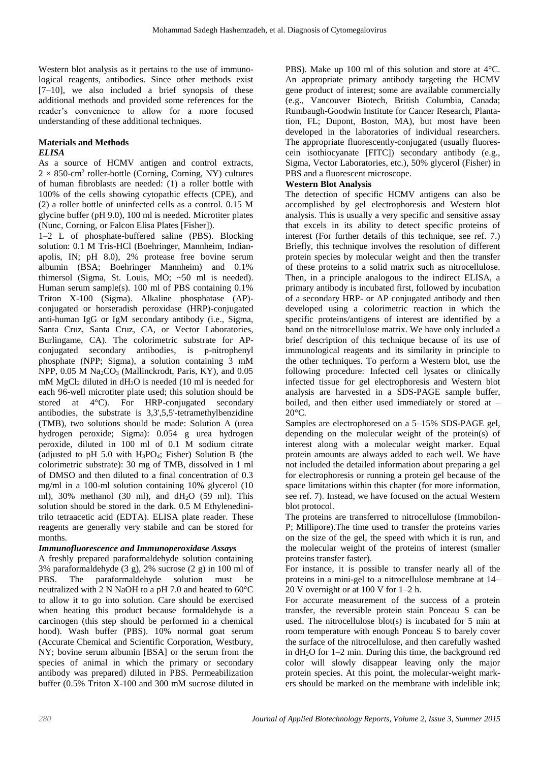Western blot analysis as it pertains to the use of immunological reagents, antibodies. Since other methods exist  $[7-10]$ , we also included a brief synopsis of these additional methods and provided some references for the reader's convenience to allow for a more focused understanding of these additional techniques.

#### **Materials and Methods** *ELISA*

As a source of HCMV antigen and control extracts,  $2 \times 850$ -cm<sup>2</sup> roller-bottle (Corning, Corning, NY) cultures of human fibroblasts are needed: (1) a roller bottle with 100% of the cells showing cytopathic effects (CPE), and (2) a roller bottle of uninfected cells as a control. 0.15 M glycine buffer (pH 9.0), 100 ml is needed. Microtiter plates (Nunc, Corning, or Falcon Elisa Plates [Fisher]).

1–2 L of phosphate-buffered saline (PBS). Blocking solution: 0.1 M Tris-HCl (Boehringer, Mannheim, Indianapolis, IN; pH 8.0), 2% protease free bovine serum albumin (BSA; Boehringer Mannheim) and 0.1% thimersol (Sigma, St. Louis, MO; ~50 ml is needed). Human serum sample(s). 100 ml of PBS containing 0.1% Triton X-100 (Sigma). Alkaline phosphatase (AP) conjugated or horseradish peroxidase (HRP)-conjugated anti-human IgG or IgM secondary antibody (i.e., Sigma, Santa Cruz, Santa Cruz, CA, or Vector Laboratories, Burlingame, CA). The colorimetric substrate for APconjugated secondary antibodies, is p-nitrophenyl phosphate (NPP; Sigma), a solution containing 3 mM NPP,  $0.05$  M Na<sub>2</sub>CO<sub>3</sub> (Mallinckrodt, Paris, KY), and  $0.05$ mM MgCl<sup>2</sup> diluted in dH2O is needed (10 ml is needed for each 96-well microtiter plate used; this solution should be stored at 4°C). For HRP-conjugated secondary antibodies, the substrate is 3,3',5,5'-tetramethylbenzidine (TMB), two solutions should be made: Solution A (urea hydrogen peroxide; Sigma): 0.054 g urea hydrogen peroxide, diluted in 100 ml of 0.1 M sodium citrate (adjusted to pH 5.0 with  $H_3PO_4$ ; Fisher) Solution B (the colorimetric substrate): 30 mg of TMB, dissolved in 1 ml of DMSO and then diluted to a final concentration of 0.3 mg/ml in a 100-ml solution containing 10% glycerol (10 ml),  $30\%$  methanol (30 ml), and  $dH_2O$  (59 ml). This solution should be stored in the dark. 0.5 M Ethylenedinitrilo tetraacetic acid (EDTA). ELISA plate reader. These reagents are generally very stabile and can be stored for months.

# *Immunofluorescence and Immunoperoxidase Assays*

A freshly prepared paraformaldehyde solution containing 3% paraformaldehyde (3 g), 2% sucrose (2 g) in 100 ml of PBS. The paraformaldehyde solution must be neutralized with 2 N NaOH to a pH 7.0 and heated to 60°C to allow it to go into solution. Care should be exercised when heating this product because formaldehyde is a carcinogen (this step should be performed in a chemical hood). Wash buffer (PBS). 10% normal goat serum (Accurate Chemical and Scientific Corporation, Westbury, NY; bovine serum albumin [BSA] or the serum from the species of animal in which the primary or secondary antibody was prepared) diluted in PBS. Permeabilization buffer (0.5% Triton X-100 and 300 mM sucrose diluted in

PBS). Make up 100 ml of this solution and store at 4°C. An appropriate primary antibody targeting the HCMV gene product of interest; some are available commercially (e.g., Vancouver Biotech, British Columbia, Canada; Rumbaugh-Goodwin Institute for Cancer Research, Plantation, FL; Dupont, Boston, MA), but most have been developed in the laboratories of individual researchers. The appropriate fluorescently-conjugated (usually fluorescein isothiocyanate [FITC]) secondary antibody (e.g., Sigma, Vector Laboratories, etc.), 50% glycerol (Fisher) in PBS and a fluorescent microscope.

# **Western Blot Analysis**

The detection of specific HCMV antigens can also be accomplished by gel electrophoresis and Western blot analysis. This is usually a very specific and sensitive assay that excels in its ability to detect specific proteins of interest (For further details of this technique, see ref. 7.) Briefly, this technique involves the resolution of different protein species by molecular weight and then the transfer of these proteins to a solid matrix such as nitrocellulose. Then, in a principle analogous to the indirect ELISA, a primary antibody is incubated first, followed by incubation of a secondary HRP- or AP conjugated antibody and then developed using a colorimetric reaction in which the specific proteins/antigens of interest are identified by a band on the nitrocellulose matrix. We have only included a brief description of this technique because of its use of immunological reagents and its similarity in principle to the other techniques. To perform a Western blot, use the following procedure: Infected cell lysates or clinically infected tissue for gel electrophoresis and Western blot analysis are harvested in a SDS-PAGE sample buffer, boiled, and then either used immediately or stored at –  $20^{\circ}$ C.

Samples are electrophoresed on a 5–15% SDS-PAGE gel, depending on the molecular weight of the protein(s) of interest along with a molecular weight marker. Equal protein amounts are always added to each well. We have not included the detailed information about preparing a gel for electrophoresis or running a protein gel because of the space limitations within this chapter (for more information, see ref. 7). Instead, we have focused on the actual Western blot protocol.

The proteins are transferred to nitrocellulose (Immobilon-P; Millipore).The time used to transfer the proteins varies on the size of the gel, the speed with which it is run, and the molecular weight of the proteins of interest (smaller proteins transfer faster).

For instance, it is possible to transfer nearly all of the proteins in a mini-gel to a nitrocellulose membrane at 14– 20 V overnight or at 100 V for 1–2 h.

For accurate measurement of the success of a protein transfer, the reversible protein stain Ponceau S can be used. The nitrocellulose blot(s) is incubated for  $5$  min at room temperature with enough Ponceau S to barely cover the surface of the nitrocellulose, and then carefully washed in  $dH_2O$  for  $1-2$  min. During this time, the background red color will slowly disappear leaving only the major protein species. At this point, the molecular-weight markers should be marked on the membrane with indelible ink;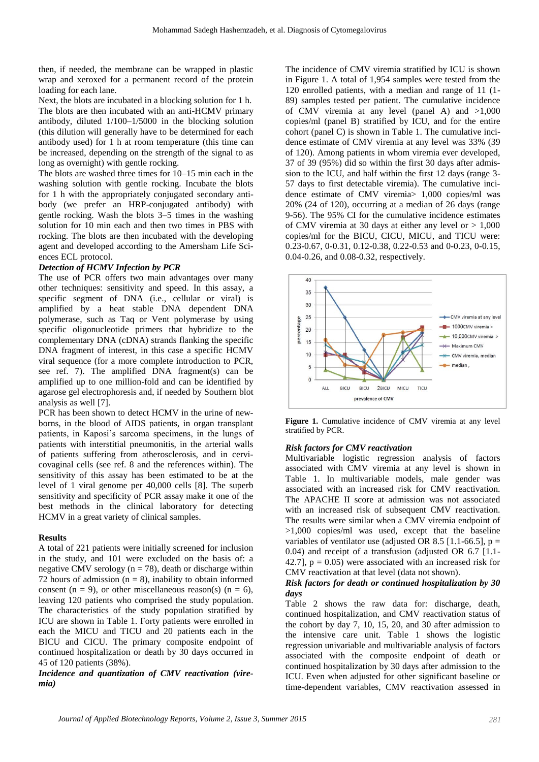then, if needed, the membrane can be wrapped in plastic wrap and xeroxed for a permanent record of the protein loading for each lane.

Next, the blots are incubated in a blocking solution for 1 h. The blots are then incubated with an anti-HCMV primary antibody, diluted 1/100–1/5000 in the blocking solution (this dilution will generally have to be determined for each antibody used) for 1 h at room temperature (this time can be increased, depending on the strength of the signal to as long as overnight) with gentle rocking.

The blots are washed three times for 10–15 min each in the washing solution with gentle rocking. Incubate the blots for 1 h with the appropriately conjugated secondary antibody (we prefer an HRP-conjugated antibody) with gentle rocking. Wash the blots 3–5 times in the washing solution for 10 min each and then two times in PBS with rocking. The blots are then incubated with the developing agent and developed according to the Amersham Life Sciences ECL protocol.

# *Detection of HCMV Infection by PCR*

The use of PCR offers two main advantages over many other techniques: sensitivity and speed. In this assay, a specific segment of DNA (i.e., cellular or viral) is amplified by a heat stable DNA dependent DNA polymerase, such as Taq or Vent polymerase by using specific oligonucleotide primers that hybridize to the complementary DNA (cDNA) strands flanking the specific DNA fragment of interest, in this case a specific HCMV viral sequence (for a more complete introduction to PCR, see ref. 7). The amplified DNA fragment(s) can be amplified up to one million-fold and can be identified by agarose gel electrophoresis and, if needed by Southern blot analysis as well [7].

PCR has been shown to detect HCMV in the urine of newborns, in the blood of AIDS patients, in organ transplant patients, in Kaposi's sarcoma specimens, in the lungs of patients with interstitial pneumonitis, in the arterial walls of patients suffering from atherosclerosis, and in cervicovaginal cells (see ref. 8 and the references within). The sensitivity of this assay has been estimated to be at the level of 1 viral genome per 40,000 cells [8]. The superb sensitivity and specificity of PCR assay make it one of the best methods in the clinical laboratory for detecting HCMV in a great variety of clinical samples.

# **Results**

A total of 221 patients were initially screened for inclusion in the study, and 101 were excluded on the basis of: a negative CMV serology ( $n = 78$ ), death or discharge within 72 hours of admission  $(n = 8)$ , inability to obtain informed consent (n = 9), or other miscellaneous reason(s) (n = 6), leaving 120 patients who comprised the study population. The characteristics of the study population stratified by ICU are shown in Table 1. Forty patients were enrolled in each the MICU and TICU and 20 patients each in the BICU and CICU. The primary composite endpoint of continued hospitalization or death by 30 days occurred in 45 of 120 patients (38%).

*Incidence and quantization of CMV reactivation (viremia)*

The incidence of CMV viremia stratified by ICU is shown in Figure 1. A total of 1,954 samples were tested from the 120 enrolled patients, with a median and range of 11 (1- 89) samples tested per patient. The cumulative incidence of CMV viremia at any level (panel A) and >1,000 copies/ml (panel B) stratified by ICU, and for the entire cohort (panel C) is shown in Table 1. The cumulative incidence estimate of CMV viremia at any level was 33% (39 of 120). Among patients in whom viremia ever developed, 37 of 39 (95%) did so within the first 30 days after admission to the ICU, and half within the first 12 days (range 3- 57 days to first detectable viremia). The cumulative incidence estimate of CMV viremia> 1,000 copies/ml was 20% (24 of 120), occurring at a median of 26 days (range 9-56). The 95% CI for the cumulative incidence estimates of CMV viremia at 30 days at either any level or  $> 1,000$ copies/ml for the BICU, CICU, MICU, and TICU were: 0.23-0.67, 0-0.31, 0.12-0.38, 0.22-0.53 and 0-0.23, 0-0.15, 0.04-0.26, and 0.08-0.32, respectively.



Figure 1. Cumulative incidence of CMV viremia at any level stratified by PCR.

# *Risk factors for CMV reactivation*

Multivariable logistic regression analysis of factors associated with CMV viremia at any level is shown in Table 1. In multivariable models, male gender was associated with an increased risk for CMV reactivation. The APACHE II score at admission was not associated with an increased risk of subsequent CMV reactivation. The results were similar when a CMV viremia endpoint of >1,000 copies/ml was used, except that the baseline variables of ventilator use (adjusted OR 8.5 [1.1-66.5],  $p =$ 0.04) and receipt of a transfusion (adjusted OR 6.7 [1.1- 42.7],  $p = 0.05$ ) were associated with an increased risk for CMV reactivation at that level (data not shown).

# *Risk factors for death or continued hospitalization by 30 days*

Table 2 shows the raw data for: discharge, death, continued hospitalization, and CMV reactivation status of the cohort by day 7, 10, 15, 20, and 30 after admission to the intensive care unit. Table 1 shows the logistic regression univariable and multivariable analysis of factors associated with the composite endpoint of death or continued hospitalization by 30 days after admission to the ICU. Even when adjusted for other significant baseline or time-dependent variables, CMV reactivation assessed in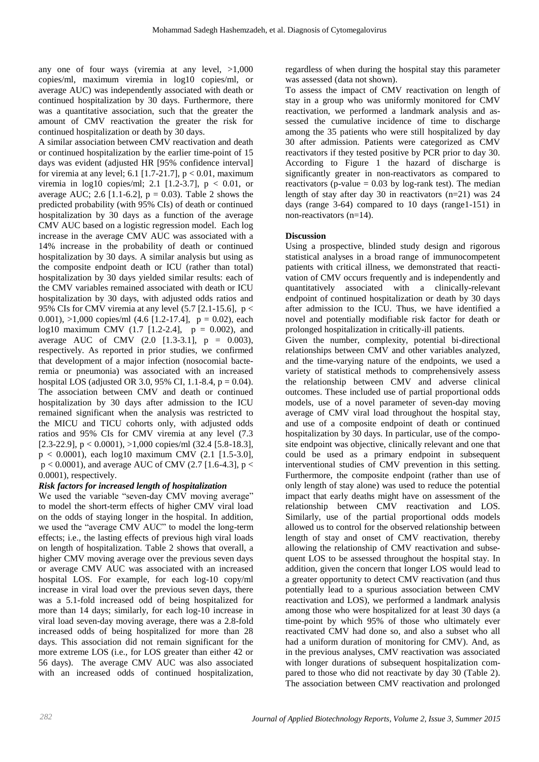any one of four ways (viremia at any level, >1,000 copies/ml, maximum viremia in log10 copies/ml, or average AUC) was independently associated with death or continued hospitalization by 30 days. Furthermore, there was a quantitative association, such that the greater the amount of CMV reactivation the greater the risk for continued hospitalization or death by 30 days.

A similar association between CMV reactivation and death or continued hospitalization by the earlier time-point of 15 days was evident (adjusted HR [95% confidence interval] for viremia at any level; 6.1 [1.7-21.7],  $p < 0.01$ , maximum viremia in  $log10$  copies/ml; 2.1 [1.2-3.7],  $p < 0.01$ , or average AUC; 2.6 [1.1-6.2],  $p = 0.03$ ). Table 2 shows the predicted probability (with 95% CIs) of death or continued hospitalization by 30 days as a function of the average CMV AUC based on a logistic regression model. Each log increase in the average CMV AUC was associated with a 14% increase in the probability of death or continued hospitalization by 30 days. A similar analysis but using as the composite endpoint death or ICU (rather than total) hospitalization by 30 days yielded similar results: each of the CMV variables remained associated with death or ICU hospitalization by 30 days, with adjusted odds ratios and 95% CIs for CMV viremia at any level  $(5.7 \, \lceil 2.1 \rceil - 15.6)$ , p < 0.001),  $>1,000$  copies/ml (4.6 [1.2-17.4],  $p = 0.02$ ), each log10 maximum CMV  $(1.7 \t[1.2-2.4], p = 0.002)$ , and average AUC of CMV  $(2.0 \t[1.3-3.1], p = 0.003)$ , respectively. As reported in prior studies, we confirmed that development of a major infection (nosocomial bacteremia or pneumonia) was associated with an increased hospital LOS (adjusted OR 3.0, 95% CI, 1.1-8.4,  $p = 0.04$ ). The association between CMV and death or continued hospitalization by 30 days after admission to the ICU remained significant when the analysis was restricted to the MICU and TICU cohorts only, with adjusted odds ratios and 95% CIs for CMV viremia at any level (7.3 [2.3-22.9],  $p < 0.0001$ ),  $>1,000$  copies/ml (32.4 [5.8-18.3],  $p < 0.0001$ , each  $log10$  maximum CMV (2.1 [1.5-3.0],  $p < 0.0001$ ), and average AUC of CMV (2.7 [1.6-4.3],  $p <$ 0.0001), respectively.

# *Risk factors for increased length of hospitalization*

We used the variable "seven-day CMV moving average" to model the short-term effects of higher CMV viral load on the odds of staying longer in the hospital. In addition, we used the "average CMV AUC" to model the long-term effects; i.e., the lasting effects of previous high viral loads on length of hospitalization. Table 2 shows that overall, a higher CMV moving average over the previous seven days or average CMV AUC was associated with an increased hospital LOS. For example, for each log-10 copy/ml increase in viral load over the previous seven days, there was a 5.1-fold increased odd of being hospitalized for more than 14 days; similarly, for each log-10 increase in viral load seven-day moving average, there was a 2.8-fold increased odds of being hospitalized for more than 28 days. This association did not remain significant for the more extreme LOS (i.e., for LOS greater than either 42 or 56 days). The average CMV AUC was also associated with an increased odds of continued hospitalization,

regardless of when during the hospital stay this parameter was assessed (data not shown).

To assess the impact of CMV reactivation on length of stay in a group who was uniformly monitored for CMV reactivation, we performed a landmark analysis and assessed the cumulative incidence of time to discharge among the 35 patients who were still hospitalized by day 30 after admission. Patients were categorized as CMV reactivators if they tested positive by PCR prior to day 30. According to Figure 1 the hazard of discharge is significantly greater in non-reactivators as compared to reactivators (p-value  $= 0.03$  by log-rank test). The median length of stay after day 30 in reactivators (n=21) was 24 days (range 3-64) compared to 10 days (range1-151) in non-reactivators (n=14).

# **Discussion**

Using a prospective, blinded study design and rigorous statistical analyses in a broad range of immunocompetent patients with critical illness, we demonstrated that reactivation of CMV occurs frequently and is independently and quantitatively associated with a clinically-relevant endpoint of continued hospitalization or death by 30 days after admission to the ICU. Thus, we have identified a novel and potentially modifiable risk factor for death or prolonged hospitalization in critically-ill patients.

Given the number, complexity, potential bi-directional relationships between CMV and other variables analyzed, and the time-varying nature of the endpoints, we used a variety of statistical methods to comprehensively assess the relationship between CMV and adverse clinical outcomes. These included use of partial proportional odds models, use of a novel parameter of seven-day moving average of CMV viral load throughout the hospital stay, and use of a composite endpoint of death or continued hospitalization by 30 days. In particular, use of the composite endpoint was objective, clinically relevant and one that could be used as a primary endpoint in subsequent interventional studies of CMV prevention in this setting. Furthermore, the composite endpoint (rather than use of only length of stay alone) was used to reduce the potential impact that early deaths might have on assessment of the relationship between CMV reactivation and LOS. Similarly, use of the partial proportional odds models allowed us to control for the observed relationship between length of stay and onset of CMV reactivation, thereby allowing the relationship of CMV reactivation and subsequent LOS to be assessed throughout the hospital stay. In addition, given the concern that longer LOS would lead to a greater opportunity to detect CMV reactivation (and thus potentially lead to a spurious association between CMV reactivation and LOS), we performed a landmark analysis among those who were hospitalized for at least 30 days (a time-point by which 95% of those who ultimately ever reactivated CMV had done so, and also a subset who all had a uniform duration of monitoring for CMV). And, as in the previous analyses, CMV reactivation was associated with longer durations of subsequent hospitalization compared to those who did not reactivate by day 30 (Table 2). The association between CMV reactivation and prolonged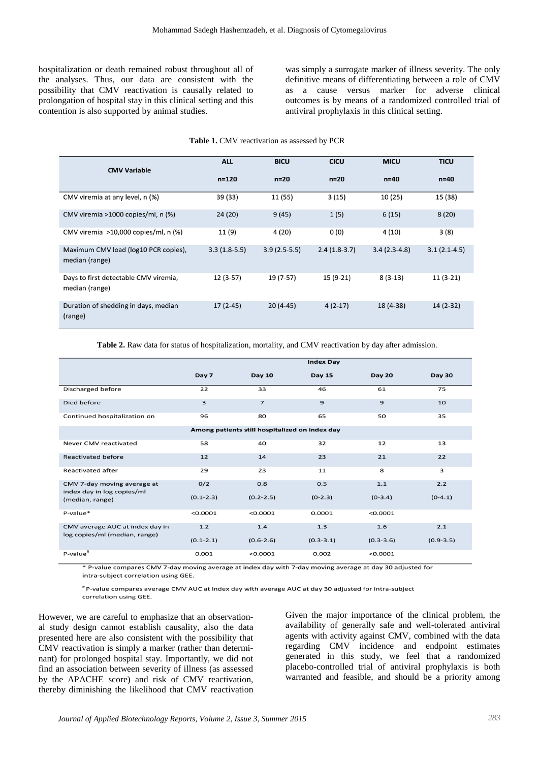hospitalization or death remained robust throughout all of the analyses. Thus, our data are consistent with the possibility that CMV reactivation is causally related to prolongation of hospital stay in this clinical setting and this contention is also supported by animal studies.

was simply a surrogate marker of illness severity. The only definitive means of differentiating between a role of CMV as a cause versus marker for adverse clinical outcomes is by means of a randomized controlled trial of antiviral prophylaxis in this clinical setting.

#### **Table 1.** CMV reactivation as assessed by PCR

| <b>CMV Variable</b>                                     | <b>ALL</b>     | <b>BICU</b>    | <b>CICU</b>    | <b>MICU</b>    | <b>TICU</b>    |
|---------------------------------------------------------|----------------|----------------|----------------|----------------|----------------|
|                                                         | $n = 120$      | $n=20$         | $n = 20$       | $n=40$         | $n=40$         |
| CMV viremia at any level, n (%)                         | 39 (33)        | 11 (55)        | 3(15)          | 10(25)         | 15 (38)        |
| CMV viremia >1000 copies/ml, n (%)                      | 24(20)         | 9(45)          | 1(5)           | 6(15)          | 8(20)          |
| CMV viremia >10,000 copies/ml, n (%)                    | 11 (9)         | 4 (20)         | 0(0)           | 4(10)          | 3(8)           |
| Maximum CMV load (log10 PCR copies),<br>median (range)  | $3.3(1.8-5.5)$ | $3.9(2.5-5.5)$ | $2.4(1.8-3.7)$ | $3.4(2.3-4.8)$ | $3.1(2.1-4.5)$ |
| Days to first detectable CMV viremia,<br>median (range) | $12(3-57)$     | 19 (7-57)      | 15 (9-21)      | $8(3-13)$      | $11(3-21)$     |
| Duration of shedding in days, median<br>(range)         | $17(2-45)$     | $20(4-45)$     | $4(2-17)$      | 18 (4-38)      | $14(2-32)$     |

**Table 2.** Raw data for status of hospitalization, mortality, and CMV reactivation by day after admission.

|                                                                  | <b>Index Day</b> |                |               |               |               |  |  |  |  |
|------------------------------------------------------------------|------------------|----------------|---------------|---------------|---------------|--|--|--|--|
|                                                                  | Day 7            | <b>Day 10</b>  | <b>Day 15</b> | <b>Day 20</b> | <b>Day 30</b> |  |  |  |  |
| Discharged before                                                | 22               | 33             | 46            | 61            | 75            |  |  |  |  |
| Died before                                                      | 3                | $\overline{z}$ | $\mathbf{9}$  | $\mathbf{9}$  | 10            |  |  |  |  |
| Continued hospitalization on                                     | 96               | 80             | 65            | 50            | 35            |  |  |  |  |
| Among patients still hospitalized on index day                   |                  |                |               |               |               |  |  |  |  |
| Never CMV reactivated                                            | 58               | 40             | 32            | 12            | 13            |  |  |  |  |
| <b>Reactivated before</b>                                        | 12               | 14             | 23            | 21            | 22            |  |  |  |  |
| <b>Reactivated after</b>                                         | 29               | 23             | 11            | 8             | з             |  |  |  |  |
| CMV 7-day moving average at<br>index day in log copies/ml        | O/2              | 0.8            | 0.5           | 1.1           | 2.2           |  |  |  |  |
| (median, range)                                                  | $(0.1 - 2.3)$    | $(0.2 - 2.5)$  | $(0-2.3)$     | $(0-3.4)$     | $(0-4.1)$     |  |  |  |  |
| P-value*                                                         | < 0.0001         | < 0.0001       | 0.0001        | < 0.0001      |               |  |  |  |  |
| CMV average AUC at index day in<br>log copies/ml (median, range) | 1.2              | 1.4            | 1.3           | 1.6           | 2.1           |  |  |  |  |
|                                                                  | $(0.1 - 2.1)$    | $(0.6 - 2.6)$  | $(0.3 - 3.1)$ | $(0.3 - 3.6)$ | $(0.9 - 3.5)$ |  |  |  |  |
| P-value <sup>#</sup>                                             | 0.001            | < 0.0001       | 0.002         | < 0.0001      |               |  |  |  |  |

\* P-value compares CMV 7-day moving average at index day with 7-day moving average at day 30 adjusted for intra-subject correlation using GEE.

#P-value compares average CMV AUC at index day with average AUC at day 30 adjusted for intra-subject correlation using GEE.

However, we are careful to emphasize that an observational study design cannot establish causality, also the data presented here are also consistent with the possibility that CMV reactivation is simply a marker (rather than determinant) for prolonged hospital stay. Importantly, we did not find an association between severity of illness (as assessed by the APACHE score) and risk of CMV reactivation, thereby diminishing the likelihood that CMV reactivation

Given the major importance of the clinical problem, the availability of generally safe and well-tolerated antiviral agents with activity against CMV, combined with the data regarding CMV incidence and endpoint estimates generated in this study, we feel that a randomized placebo-controlled trial of antiviral prophylaxis is both warranted and feasible, and should be a priority among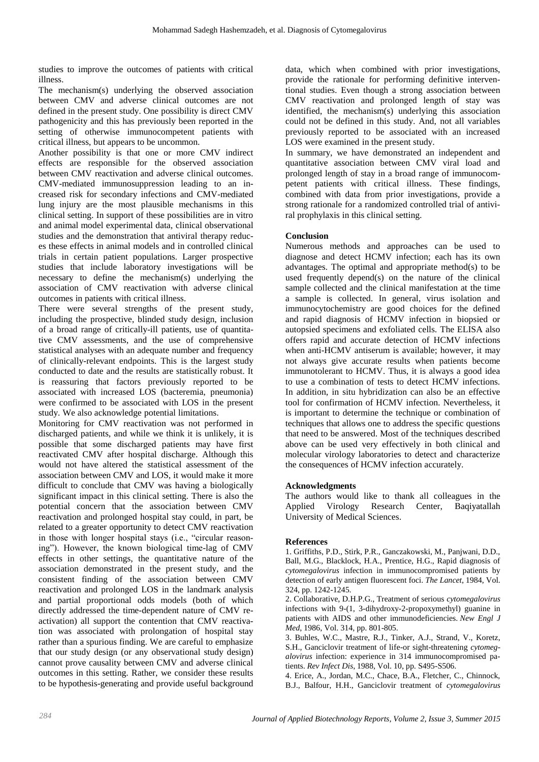studies to improve the outcomes of patients with critical illness.

The mechanism(s) underlying the observed association between CMV and adverse clinical outcomes are not defined in the present study. One possibility is direct CMV pathogenicity and this has previously been reported in the setting of otherwise immunocompetent patients with critical illness, but appears to be uncommon.

Another possibility is that one or more CMV indirect effects are responsible for the observed association between CMV reactivation and adverse clinical outcomes. CMV-mediated immunosuppression leading to an increased risk for secondary infections and CMV-mediated lung injury are the most plausible mechanisms in this clinical setting. In support of these possibilities are in vitro and animal model experimental data, clinical observational studies and the demonstration that antiviral therapy reduces these effects in animal models and in controlled clinical trials in certain patient populations. Larger prospective studies that include laboratory investigations will be necessary to define the mechanism(s) underlying the association of CMV reactivation with adverse clinical outcomes in patients with critical illness.

There were several strengths of the present study, including the prospective, blinded study design, inclusion of a broad range of critically-ill patients, use of quantitative CMV assessments, and the use of comprehensive statistical analyses with an adequate number and frequency of clinically-relevant endpoints. This is the largest study conducted to date and the results are statistically robust. It is reassuring that factors previously reported to be associated with increased LOS (bacteremia, pneumonia) were confirmed to be associated with LOS in the present study. We also acknowledge potential limitations.

Monitoring for CMV reactivation was not performed in discharged patients, and while we think it is unlikely, it is possible that some discharged patients may have first reactivated CMV after hospital discharge. Although this would not have altered the statistical assessment of the association between CMV and LOS, it would make it more difficult to conclude that CMV was having a biologically significant impact in this clinical setting. There is also the potential concern that the association between CMV reactivation and prolonged hospital stay could, in part, be related to a greater opportunity to detect CMV reactivation in those with longer hospital stays (i.e., "circular reasoning"). However, the known biological time-lag of CMV effects in other settings, the quantitative nature of the association demonstrated in the present study, and the consistent finding of the association between CMV reactivation and prolonged LOS in the landmark analysis and partial proportional odds models (both of which directly addressed the time-dependent nature of CMV reactivation) all support the contention that CMV reactivation was associated with prolongation of hospital stay rather than a spurious finding. We are careful to emphasize that our study design (or any observational study design) cannot prove causality between CMV and adverse clinical outcomes in this setting. Rather, we consider these results to be hypothesis-generating and provide useful background

data, which when combined with prior investigations, provide the rationale for performing definitive interventional studies. Even though a strong association between CMV reactivation and prolonged length of stay was identified, the mechanism(s) underlying this association could not be defined in this study. And, not all variables previously reported to be associated with an increased LOS were examined in the present study.

In summary, we have demonstrated an independent and quantitative association between CMV viral load and prolonged length of stay in a broad range of immunocompetent patients with critical illness. These findings, combined with data from prior investigations, provide a strong rationale for a randomized controlled trial of antiviral prophylaxis in this clinical setting.

#### **Conclusion**

Numerous methods and approaches can be used to diagnose and detect HCMV infection; each has its own advantages. The optimal and appropriate method(s) to be used frequently depend(s) on the nature of the clinical sample collected and the clinical manifestation at the time a sample is collected. In general, virus isolation and immunocytochemistry are good choices for the defined and rapid diagnosis of HCMV infection in biopsied or autopsied specimens and exfoliated cells. The ELISA also offers rapid and accurate detection of HCMV infections when anti-HCMV antiserum is available; however, it may not always give accurate results when patients become immunotolerant to HCMV. Thus, it is always a good idea to use a combination of tests to detect HCMV infections. In addition, in situ hybridization can also be an effective tool for confirmation of HCMV infection. Nevertheless, it is important to determine the technique or combination of techniques that allows one to address the specific questions that need to be answered. Most of the techniques described above can be used very effectively in both clinical and molecular virology laboratories to detect and characterize the consequences of HCMV infection accurately.

#### **Acknowledgments**

The authors would like to thank all colleagues in the Applied Virology Research Center, Baqiyatallah University of Medical Sciences.

#### **References**

1. Griffiths, P.D., Stirk, P.R., Ganczakowski, M., Panjwani, D.D., Ball, M.G., Blacklock, H.A., Prentice, H.G., Rapid diagnosis of *cytomegalovirus* infection in immunocompromised patients by detection of early antigen fluorescent foci. *The Lancet*, 1984, Vol. 324, pp. 1242-1245.

2. Collaborative, D.H.P.G., Treatment of serious *cytomegalovirus* infections with 9-(1, 3-dihydroxy-2-propoxymethyl) guanine in patients with AIDS and other immunodeficiencies. *New Engl J Med*, 1986, Vol. 314, pp. 801-805.

3. Buhles, W.C., Mastre, R.J., Tinker, A.J., Strand, V., Koretz, S.H., Ganciclovir treatment of life-or sight-threatening *cytomegalovirus* infection: experience in 314 immunocompromised patients. *Rev Infect Dis*, 1988, Vol. 10, pp. S495-S506.

4. Erice, A., Jordan, M.C., Chace, B.A., Fletcher, C., Chinnock, B.J., Balfour, H.H., Ganciclovir treatment of *cytomegalovirus*